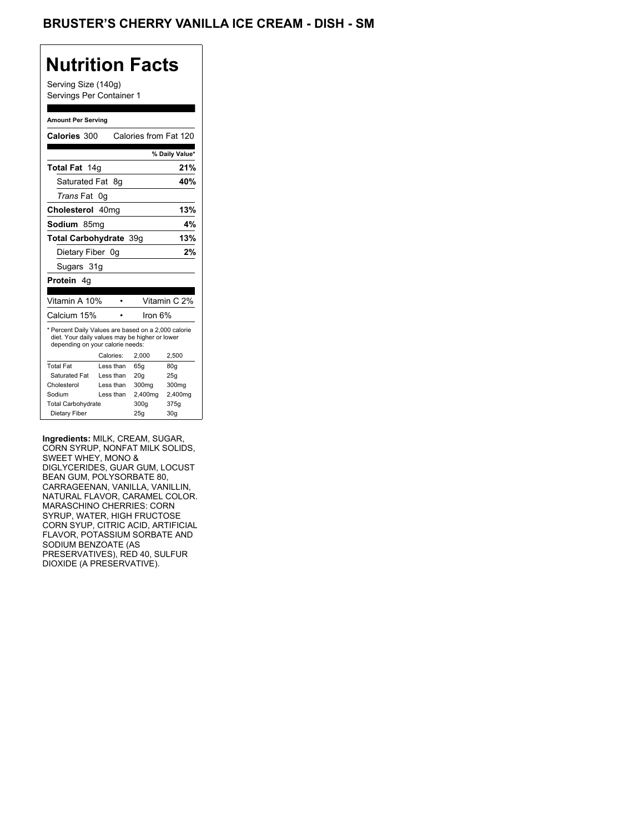## **Nutrition Facts**

Serving Size (140g) Servings Per Container 1

#### **Amount Per Serving**

| Calories 300                                                                                                                              |           |      | Calories from Fat 120 |                 |
|-------------------------------------------------------------------------------------------------------------------------------------------|-----------|------|-----------------------|-----------------|
|                                                                                                                                           |           |      |                       | % Daily Value*  |
| Total Fat 14g                                                                                                                             |           |      |                       | 21%             |
| Saturated Fat                                                                                                                             |           | - 8a |                       | 40%             |
| <i>Trans</i> Fat                                                                                                                          | 0g        |      |                       |                 |
| Cholesterol 40mg                                                                                                                          |           |      |                       | 13%             |
| Sodium 85mq                                                                                                                               |           |      |                       | 4%              |
| Total Carbohydrate 39q                                                                                                                    |           |      |                       | 13%             |
| Dietary Fiber 0q                                                                                                                          |           |      |                       | 2%              |
| Sugars 31g                                                                                                                                |           |      |                       |                 |
| <b>Protein</b> 4q                                                                                                                         |           |      |                       |                 |
|                                                                                                                                           |           |      |                       |                 |
| Vitamin A 10%                                                                                                                             |           |      |                       | Vitamin C 2%    |
| Calcium 15%                                                                                                                               |           |      | Iron 6%               |                 |
| * Percent Daily Values are based on a 2,000 calorie<br>diet. Your daily values may be higher or lower<br>depending on your calorie needs: |           |      |                       |                 |
|                                                                                                                                           | Calories: |      | 2.000                 | 2,500           |
| <b>Total Fat</b>                                                                                                                          | Less than |      | 65q                   | 80q             |
| Saturated Fat                                                                                                                             | Less than |      | 20q                   | 25q             |
| Cholesterol                                                                                                                               | Less than |      | 300 <sub>mq</sub>     | 300mg           |
| Sodium                                                                                                                                    | Less than |      | 2,400mg               | 2,400mg         |
| <b>Total Carbohydrate</b>                                                                                                                 |           |      | 300g                  | 375g            |
| Dietary Fiber                                                                                                                             |           |      | 25q                   | 30 <sub>g</sub> |

**Ingredients:** MILK, CREAM, SUGAR, CORN SYRUP, NONFAT MILK SOLIDS, SWEET WHEY, MONO & DIGLYCERIDES, GUAR GUM, LOCUST BEAN GUM, POLYSORBATE 80, CARRAGEENAN, VANILLA, VANILLIN, NATURAL FLAVOR, CARAMEL COLOR. MARASCHINO CHERRIES: CORN SYRUP, WATER, HIGH FRUCTOSE CORN SYUP, CITRIC ACID, ARTIFICIAL FLAVOR, POTASSIUM SORBATE AND SODIUM BENZOATE (AS PRESERVATIVES), RED 40, SULFUR DIOXIDE (A PRESERVATIVE).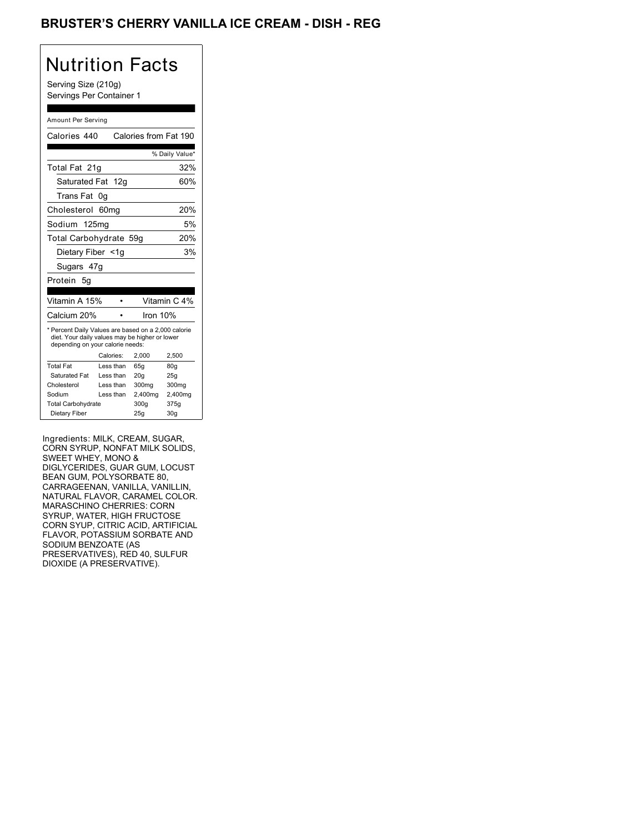## BRUSTER'S CHERRY VANILLA ICE CREAM - DISH - REG

# Nutrition Facts

Serving Size (210g) Servings Per Container 1

#### Amount Per Serving

| Calories 440                                                                                                                              |                  | Calories from Fat 190 |                 |
|-------------------------------------------------------------------------------------------------------------------------------------------|------------------|-----------------------|-----------------|
|                                                                                                                                           |                  |                       | % Daily Value*  |
| Total Fat 21q                                                                                                                             |                  |                       | 32%             |
| Saturated Fat 12g                                                                                                                         |                  |                       | 60%             |
| Trans Fat                                                                                                                                 | 0g               |                       |                 |
| Cholesterol                                                                                                                               | 60 <sub>mq</sub> |                       | 20%             |
| Sodium 125mg                                                                                                                              |                  |                       | 5%              |
| Total Carbohydrate 59g                                                                                                                    |                  |                       | 20%             |
| Dietary Fiber <1g                                                                                                                         |                  |                       | 3%              |
| Sugars 47g                                                                                                                                |                  |                       |                 |
| Protein<br>5g                                                                                                                             |                  |                       |                 |
|                                                                                                                                           |                  |                       |                 |
| Vitamin A 15%                                                                                                                             |                  |                       | Vitamin C 4%    |
| Calcium 20%                                                                                                                               |                  | Iron 10%              |                 |
| * Percent Daily Values are based on a 2,000 calorie<br>diet. Your daily values may be higher or lower<br>depending on your calorie needs: |                  |                       |                 |
|                                                                                                                                           | Calories:        | 2.000                 | 2.500           |
| <b>Total Fat</b>                                                                                                                          | Less than        | 65q                   | 80g             |
| Saturated Fat                                                                                                                             | Less than        | 20q                   | 25q             |
| Cholesterol                                                                                                                               | Less than        | 300 <sub>mq</sub>     | 300mg           |
| Sodium                                                                                                                                    | Less than        | 2,400mg               | 2,400mg         |
| <b>Total Carbohydrate</b>                                                                                                                 |                  | 300g                  | 375g            |
| Dietary Fiber                                                                                                                             |                  | 25q                   | 30 <sub>g</sub> |

Ingredients: MILK, CREAM, SUGAR, CORN SYRUP, NONFAT MILK SOLIDS, SWEET WHEY, MONO & DIGLYCERIDES, GUAR GUM, LOCUST BEAN GUM, POLYSORBATE 80, CARRAGEENAN, VANILLA, VANILLIN, NATURAL FLAVOR, CARAMEL COLOR. MARASCHINO CHERRIES: CORN SYRUP, WATER, HIGH FRUCTOSE CORN SYUP, CITRIC ACID, ARTIFICIAL FLAVOR, POTASSIUM SORBATE AND SODIUM BENZOATE (AS PRESERVATIVES), RED 40, SULFUR DIOXIDE (A PRESERVATIVE).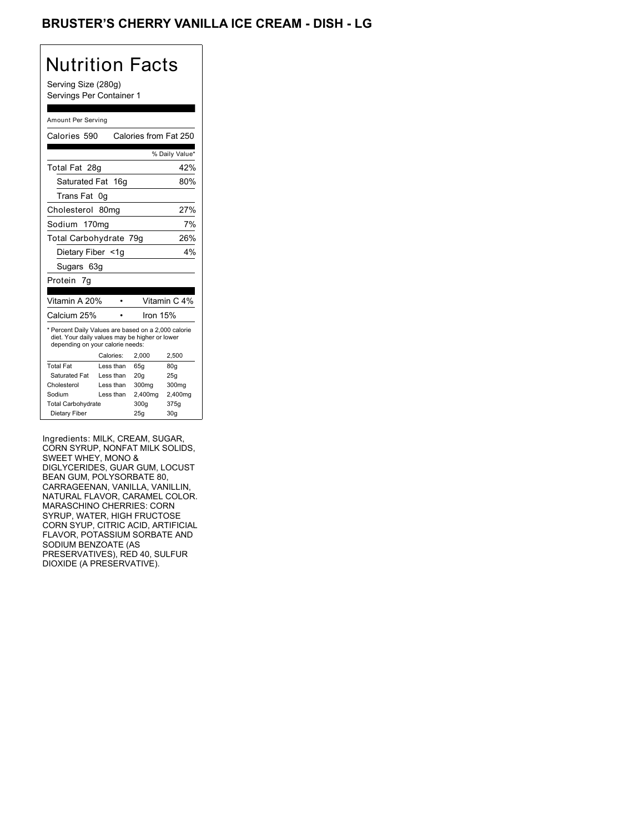## BRUSTER'S CHERRY VANILLA ICE CREAM - DISH - LG

# Nutrition Facts

Serving Size (280g) Servings Per Container 1

#### Amount Per Serving

| Calories 590                                                                                                                              |                  | Calories from Fat 250 |                |
|-------------------------------------------------------------------------------------------------------------------------------------------|------------------|-----------------------|----------------|
|                                                                                                                                           |                  |                       | % Daily Value* |
| Total Fat 28g                                                                                                                             |                  |                       | 42%            |
| Saturated Fat 16g                                                                                                                         |                  |                       | 80%            |
| Trans Fat                                                                                                                                 | 0g               |                       |                |
| Cholesterol                                                                                                                               | 80 <sub>mq</sub> |                       | 27%            |
| Sodium 170mg                                                                                                                              |                  |                       | 7%             |
| Total Carbohydrate 79g                                                                                                                    |                  |                       | 26%            |
| Dietary Fiber <1q                                                                                                                         |                  |                       | 4%             |
| Sugars 63g                                                                                                                                |                  |                       |                |
| Protein 7g                                                                                                                                |                  |                       |                |
|                                                                                                                                           |                  |                       |                |
| Vitamin A 20%                                                                                                                             |                  |                       | Vitamin C 4%   |
| Calcium 25%                                                                                                                               |                  | lron 15%              |                |
| * Percent Daily Values are based on a 2,000 calorie<br>diet. Your daily values may be higher or lower<br>depending on your calorie needs: |                  |                       |                |
|                                                                                                                                           | Calories:        | 2.000                 | 2.500          |
| <b>Total Fat</b>                                                                                                                          | Less than        | 65q                   | 80g            |
| Saturated Fat                                                                                                                             | Less than        | 20q                   | 25q            |
| Cholesterol                                                                                                                               | Less than        | 300mg                 | 300mg          |
| Sodium                                                                                                                                    | Less than        | 2,400mg               | 2,400mg        |
| <b>Total Carbohydrate</b>                                                                                                                 |                  | 300g                  | 375g           |
|                                                                                                                                           |                  |                       |                |

Ingredients: MILK, CREAM, SUGAR, CORN SYRUP, NONFAT MILK SOLIDS, SWEET WHEY, MONO & DIGLYCERIDES, GUAR GUM, LOCUST BEAN GUM, POLYSORBATE 80, CARRAGEENAN, VANILLA, VANILLIN, NATURAL FLAVOR, CARAMEL COLOR. MARASCHINO CHERRIES: CORN SYRUP, WATER, HIGH FRUCTOSE CORN SYUP, CITRIC ACID, ARTIFICIAL FLAVOR, POTASSIUM SORBATE AND SODIUM BENZOATE (AS PRESERVATIVES), RED 40, SULFUR DIOXIDE (A PRESERVATIVE).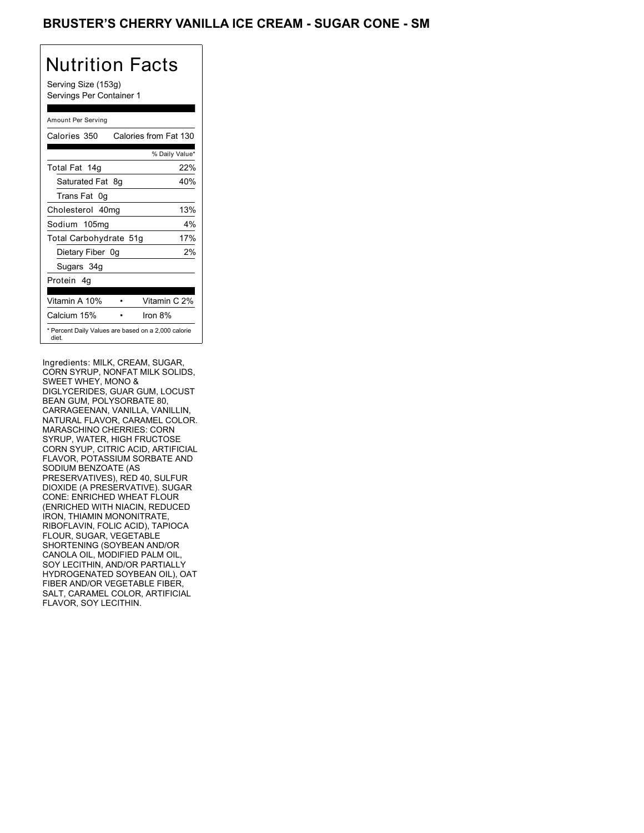### BRUSTER'S CHERRY VANILLA ICE CREAM - SUGAR CONE - SM

## Nutrition Facts

Serving Size (153g) Servings Per Container 1

#### Amount Per Serving

| Calories 350           | Calories from Fat 130                               |
|------------------------|-----------------------------------------------------|
|                        | % Daily Value*                                      |
| Total Fat 14g          | 22%                                                 |
| Saturated Fat 8q       | 40%                                                 |
| Trans Fat 0q           |                                                     |
| Cholesterol 40mg       | 13%                                                 |
| Sodium 105mg           | $4\%$                                               |
| Total Carbohydrate 51g | 17%                                                 |
| Dietary Fiber 0g       | 2%                                                  |
| Sugars 34g             |                                                     |
| Protein 4q             |                                                     |
|                        |                                                     |
| Vitamin A 10%          | Vitamin C 2%                                        |
| Calcium 15%            | Iron $8%$                                           |
| diet.                  | * Percent Daily Values are based on a 2,000 calorie |

Ingredients: MILK, CREAM, SUGAR, CORN SYRUP, NONFAT MILK SOLIDS, SWEET WHEY, MONO & DIGLYCERIDES, GUAR GUM, LOCUST BEAN GUM, POLYSORBATE 80, CARRAGEENAN, VANILLA, VANILLIN, NATURAL FLAVOR, CARAMEL COLOR. MARASCHINO CHERRIES: CORN SYRUP, WATER, HIGH FRUCTOSE CORN SYUP, CITRIC ACID, ARTIFICIAL FLAVOR, POTASSIUM SORBATE AND SODIUM BENZOATE (AS PRESERVATIVES), RED 40, SULFUR DIOXIDE (A PRESERVATIVE). SUGAR CONE: ENRICHED WHEAT FLOUR (ENRICHED WITH NIACIN, REDUCED IRON, THIAMIN MONONITRATE, RIBOFLAVIN, FOLIC ACID), TAPIOCA FLOUR, SUGAR, VEGETABLE SHORTENING (SOYBEAN AND/OR CANOLA OIL, MODIFIED PALM OIL, SOY LECITHIN, AND/OR PARTIALLY HYDROGENATED SOYBEAN OIL), OAT FIBER AND/OR VEGETABLE FIBER, SALT, CARAMEL COLOR, ARTIFICIAL FLAVOR, SOY LECITHIN.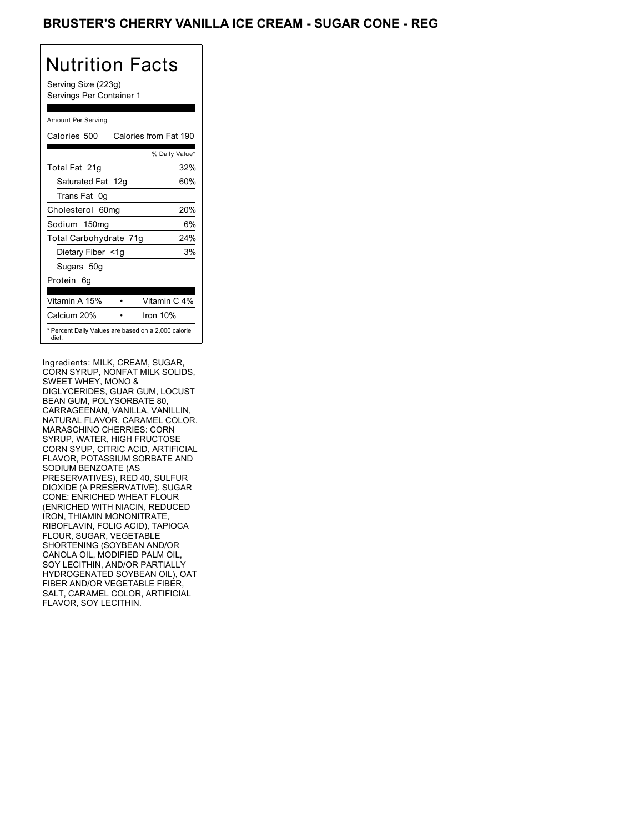### BRUSTER'S CHERRY VANILLA ICE CREAM - SUGAR CONE - REG

## Nutrition Facts

Serving Size (223g) Servings Per Container 1

#### Amount Per Serving

| Calories 500                                                 | Calories from Fat 190 |
|--------------------------------------------------------------|-----------------------|
|                                                              | % Daily Value*        |
| Total Fat 21g                                                | 32%                   |
| Saturated Fat 12g                                            | 60%                   |
| Trans Fat 0q                                                 |                       |
| Cholesterol 60mg                                             | 20%                   |
| Sodium 150mg                                                 | 6%                    |
| Total Carbohydrate 71g                                       | 24%                   |
| Dietary Fiber <1g                                            | 3%                    |
| Sugars 50g                                                   |                       |
| Protein 6q                                                   |                       |
| Vitamin A 15%                                                | Vitamin C 4%          |
| Calcium 20%                                                  | Iron $10%$            |
| * Percent Daily Values are based on a 2,000 calorie<br>diet. |                       |

Ingredients: MILK, CREAM, SUGAR, CORN SYRUP, NONFAT MILK SOLIDS, SWEET WHEY, MONO & DIGLYCERIDES, GUAR GUM, LOCUST BEAN GUM, POLYSORBATE 80, CARRAGEENAN, VANILLA, VANILLIN, NATURAL FLAVOR, CARAMEL COLOR. MARASCHINO CHERRIES: CORN SYRUP, WATER, HIGH FRUCTOSE CORN SYUP, CITRIC ACID, ARTIFICIAL FLAVOR, POTASSIUM SORBATE AND SODIUM BENZOATE (AS PRESERVATIVES), RED 40, SULFUR DIOXIDE (A PRESERVATIVE). SUGAR CONE: ENRICHED WHEAT FLOUR (ENRICHED WITH NIACIN, REDUCED IRON, THIAMIN MONONITRATE, RIBOFLAVIN, FOLIC ACID), TAPIOCA FLOUR, SUGAR, VEGETABLE SHORTENING (SOYBEAN AND/OR CANOLA OIL, MODIFIED PALM OIL, SOY LECITHIN, AND/OR PARTIALLY HYDROGENATED SOYBEAN OIL), OAT FIBER AND/OR VEGETABLE FIBER, SALT, CARAMEL COLOR, ARTIFICIAL FLAVOR, SOY LECITHIN.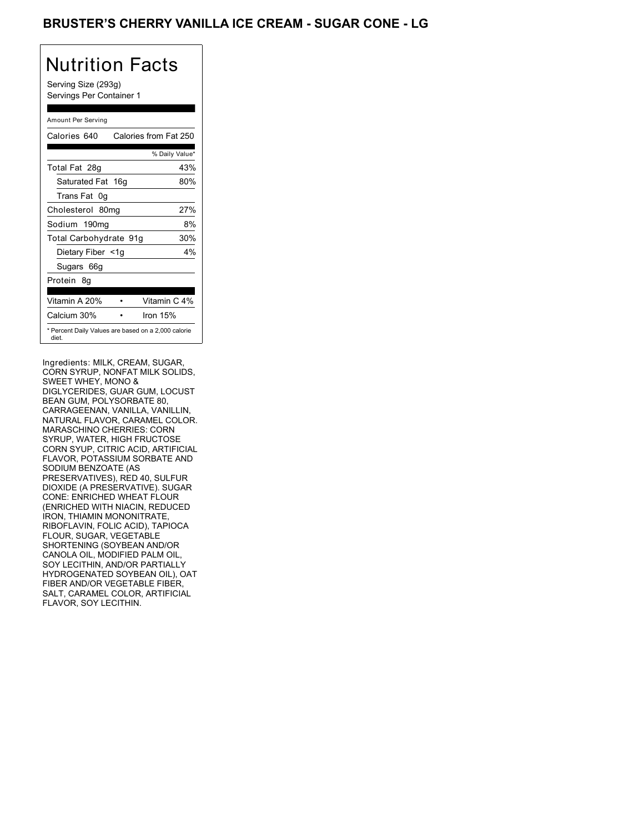### BRUSTER'S CHERRY VANILLA ICE CREAM - SUGAR CONE - LG

## Nutrition Facts

Serving Size (293g) Servings Per Container 1

#### Amount Per Serving

| Calories 640           | Calories from Fat 250                               |
|------------------------|-----------------------------------------------------|
|                        | % Daily Value*                                      |
| Total Fat 28g          | 43%                                                 |
| Saturated Fat 16g      | 80%                                                 |
| Trans Fat 0q           |                                                     |
| Cholesterol 80mg       | 27%                                                 |
| Sodium 190mg           | 8%                                                  |
| Total Carbohydrate 91g | 30%                                                 |
| Dietary Fiber <1g      | $4\%$                                               |
| Sugars 66g             |                                                     |
| Protein 8q             |                                                     |
| Vitamin A 20%          | Vitamin C 4%                                        |
| Calcium 30%            | Iron $15%$                                          |
| diet.                  | * Percent Daily Values are based on a 2,000 calorie |

Ingredients: MILK, CREAM, SUGAR, CORN SYRUP, NONFAT MILK SOLIDS, SWEET WHEY, MONO & DIGLYCERIDES, GUAR GUM, LOCUST BEAN GUM, POLYSORBATE 80, CARRAGEENAN, VANILLA, VANILLIN, NATURAL FLAVOR, CARAMEL COLOR. MARASCHINO CHERRIES: CORN SYRUP, WATER, HIGH FRUCTOSE CORN SYUP, CITRIC ACID, ARTIFICIAL FLAVOR, POTASSIUM SORBATE AND SODIUM BENZOATE (AS PRESERVATIVES), RED 40, SULFUR DIOXIDE (A PRESERVATIVE). SUGAR CONE: ENRICHED WHEAT FLOUR (ENRICHED WITH NIACIN, REDUCED IRON, THIAMIN MONONITRATE, RIBOFLAVIN, FOLIC ACID), TAPIOCA FLOUR, SUGAR, VEGETABLE SHORTENING (SOYBEAN AND/OR CANOLA OIL, MODIFIED PALM OIL, SOY LECITHIN, AND/OR PARTIALLY HYDROGENATED SOYBEAN OIL), OAT FIBER AND/OR VEGETABLE FIBER, SALT, CARAMEL COLOR, ARTIFICIAL FLAVOR, SOY LECITHIN.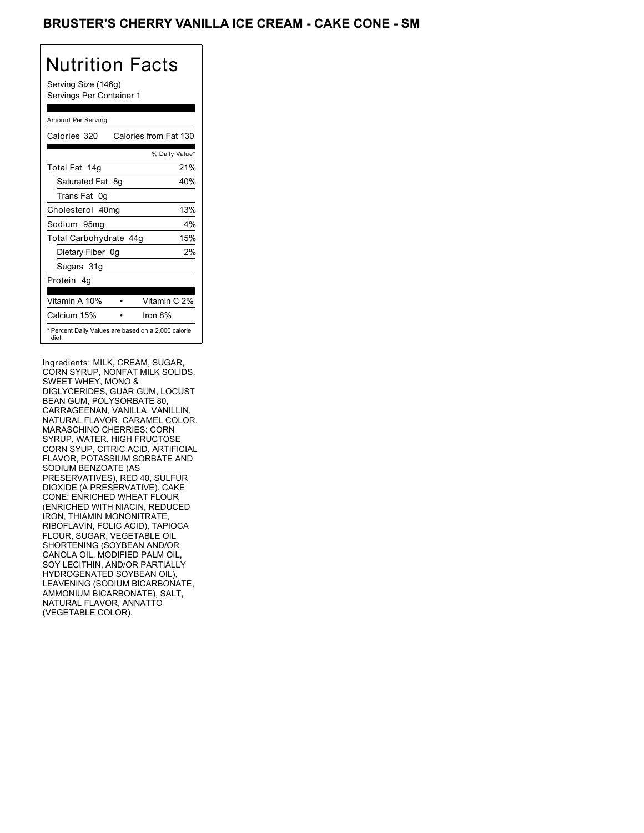### BRUSTER'S CHERRY VANILLA ICE CREAM - CAKE CONE - SM

## Nutrition Facts

Serving Size (146g) Servings Per Container 1

#### Amount Per Serving

| Calories 320           |    | Calories from Fat 130                               |
|------------------------|----|-----------------------------------------------------|
|                        |    | % Daily Value*                                      |
| Total Fat 14g          |    | 21%                                                 |
| Saturated Fat          | 8g | 40%                                                 |
| Trans Fat 0q           |    |                                                     |
| Cholesterol 40mg       |    | 13%                                                 |
| Sodium 95mg            |    | $4\%$                                               |
| Total Carbohydrate 44g |    | 15%                                                 |
| Dietary Fiber 0g       |    | 2%                                                  |
| Sugars 31g             |    |                                                     |
| Protein 4q             |    |                                                     |
| Vitamin A 10%          |    | Vitamin C 2%                                        |
| Calcium 15%            |    | Iron $8\%$                                          |
| diet.                  |    | * Percent Daily Values are based on a 2,000 calorie |

Ingredients: MILK, CREAM, SUGAR, CORN SYRUP, NONFAT MILK SOLIDS, SWEET WHEY, MONO & DIGLYCERIDES, GUAR GUM, LOCUST BEAN GUM, POLYSORBATE 80, CARRAGEENAN, VANILLA, VANILLIN, NATURAL FLAVOR, CARAMEL COLOR. MARASCHINO CHERRIES: CORN SYRUP, WATER, HIGH FRUCTOSE CORN SYUP, CITRIC ACID, ARTIFICIAL FLAVOR, POTASSIUM SORBATE AND SODIUM BENZOATE (AS PRESERVATIVES), RED 40, SULFUR DIOXIDE (A PRESERVATIVE). CAKE CONE: ENRICHED WHEAT FLOUR (ENRICHED WITH NIACIN, REDUCED IRON, THIAMIN MONONITRATE, RIBOFLAVIN, FOLIC ACID), TAPIOCA FLOUR, SUGAR, VEGETABLE OIL SHORTENING (SOYBEAN AND/OR CANOLA OIL, MODIFIED PALM OIL, SOY LECITHIN, AND/OR PARTIALLY HYDROGENATED SOYBEAN OIL), LEAVENING (SODIUM BICARBONATE, AMMONIUM BICARBONATE), SALT, NATURAL FLAVOR, ANNATTO (VEGETABLE COLOR).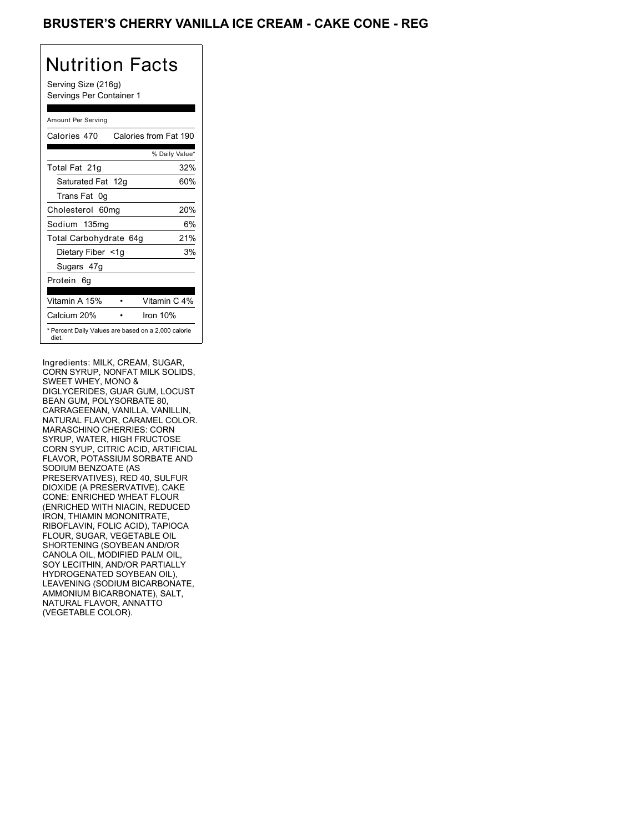## BRUSTER'S CHERRY VANILLA ICE CREAM - CAKE CONE - REG

## Nutrition Facts

Serving Size (216g) Servings Per Container 1

#### Amount Per Serving

| Calories 470                                                 | Calories from Fat 190 |
|--------------------------------------------------------------|-----------------------|
|                                                              | % Daily Value*        |
| Total Fat 21g                                                | 32%                   |
| Saturated Fat 12g                                            | 60%                   |
| Trans Fat 0q                                                 |                       |
| Cholesterol 60mg                                             | 20%                   |
| Sodium 135mg                                                 | 6%                    |
| Total Carbohydrate 64g                                       | 21%                   |
| Dietary Fiber <1g                                            | 3%                    |
| Sugars 47g                                                   |                       |
| Protein 6q                                                   |                       |
| Vitamin A 15%                                                | Vitamin C 4%          |
| Calcium 20%                                                  | Iron $10%$            |
| * Percent Daily Values are based on a 2,000 calorie<br>diet. |                       |

Ingredients: MILK, CREAM, SUGAR, CORN SYRUP, NONFAT MILK SOLIDS, SWEET WHEY, MONO & DIGLYCERIDES, GUAR GUM, LOCUST BEAN GUM, POLYSORBATE 80, CARRAGEENAN, VANILLA, VANILLIN, NATURAL FLAVOR, CARAMEL COLOR. MARASCHINO CHERRIES: CORN SYRUP, WATER, HIGH FRUCTOSE CORN SYUP, CITRIC ACID, ARTIFICIAL FLAVOR, POTASSIUM SORBATE AND SODIUM BENZOATE (AS PRESERVATIVES), RED 40, SULFUR DIOXIDE (A PRESERVATIVE). CAKE CONE: ENRICHED WHEAT FLOUR (ENRICHED WITH NIACIN, REDUCED IRON, THIAMIN MONONITRATE, RIBOFLAVIN, FOLIC ACID), TAPIOCA FLOUR, SUGAR, VEGETABLE OIL SHORTENING (SOYBEAN AND/OR CANOLA OIL, MODIFIED PALM OIL, SOY LECITHIN, AND/OR PARTIALLY HYDROGENATED SOYBEAN OIL), LEAVENING (SODIUM BICARBONATE, AMMONIUM BICARBONATE), SALT, NATURAL FLAVOR, ANNATTO (VEGETABLE COLOR).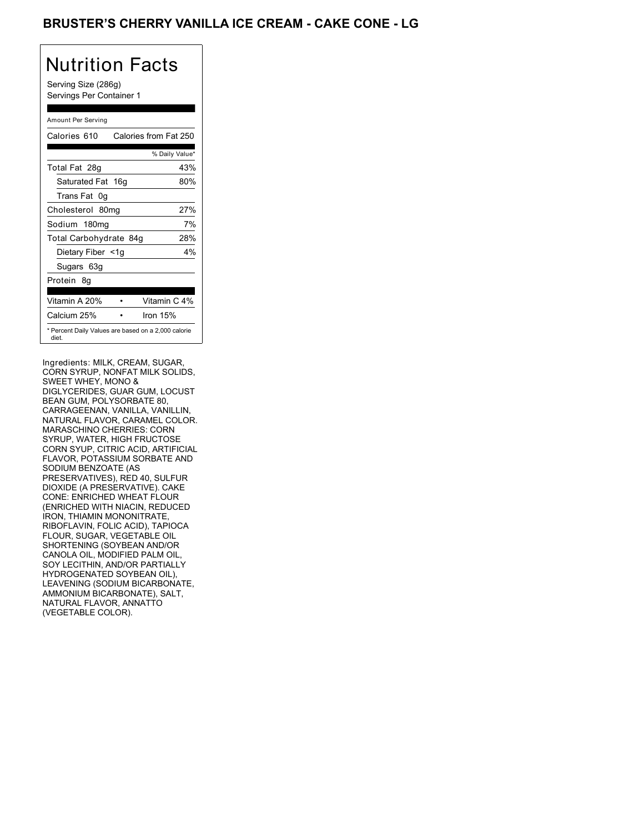## BRUSTER'S CHERRY VANILLA ICE CREAM - CAKE CONE - LG

## Nutrition Facts

Serving Size (286g) Servings Per Container 1

#### Amount Per Serving

| Calories 610                                                 | Calories from Fat 250 |
|--------------------------------------------------------------|-----------------------|
|                                                              | % Daily Value*        |
| Total Fat 28g                                                | 43%                   |
| Saturated Fat 16g                                            | 80%                   |
| Trans Fat 0q                                                 |                       |
| Cholesterol 80mg                                             | 27%                   |
| Sodium 180mg                                                 | 7%                    |
| Total Carbohydrate 84g                                       | 28%                   |
| Dietary Fiber <1g                                            | $4\%$                 |
| Sugars 63g                                                   |                       |
| Protein 8q                                                   |                       |
| Vitamin A 20%                                                | Vitamin C 4%          |
| Calcium 25%                                                  | Iron $15%$            |
| * Percent Daily Values are based on a 2,000 calorie<br>diet. |                       |

Ingredients: MILK, CREAM, SUGAR, CORN SYRUP, NONFAT MILK SOLIDS, SWEET WHEY, MONO & DIGLYCERIDES, GUAR GUM, LOCUST BEAN GUM, POLYSORBATE 80, CARRAGEENAN, VANILLA, VANILLIN, NATURAL FLAVOR, CARAMEL COLOR. MARASCHINO CHERRIES: CORN SYRUP, WATER, HIGH FRUCTOSE CORN SYUP, CITRIC ACID, ARTIFICIAL FLAVOR, POTASSIUM SORBATE AND SODIUM BENZOATE (AS PRESERVATIVES), RED 40, SULFUR DIOXIDE (A PRESERVATIVE). CAKE CONE: ENRICHED WHEAT FLOUR (ENRICHED WITH NIACIN, REDUCED IRON, THIAMIN MONONITRATE, RIBOFLAVIN, FOLIC ACID), TAPIOCA FLOUR, SUGAR, VEGETABLE OIL SHORTENING (SOYBEAN AND/OR CANOLA OIL, MODIFIED PALM OIL, SOY LECITHIN, AND/OR PARTIALLY HYDROGENATED SOYBEAN OIL), LEAVENING (SODIUM BICARBONATE, AMMONIUM BICARBONATE), SALT, NATURAL FLAVOR, ANNATTO (VEGETABLE COLOR).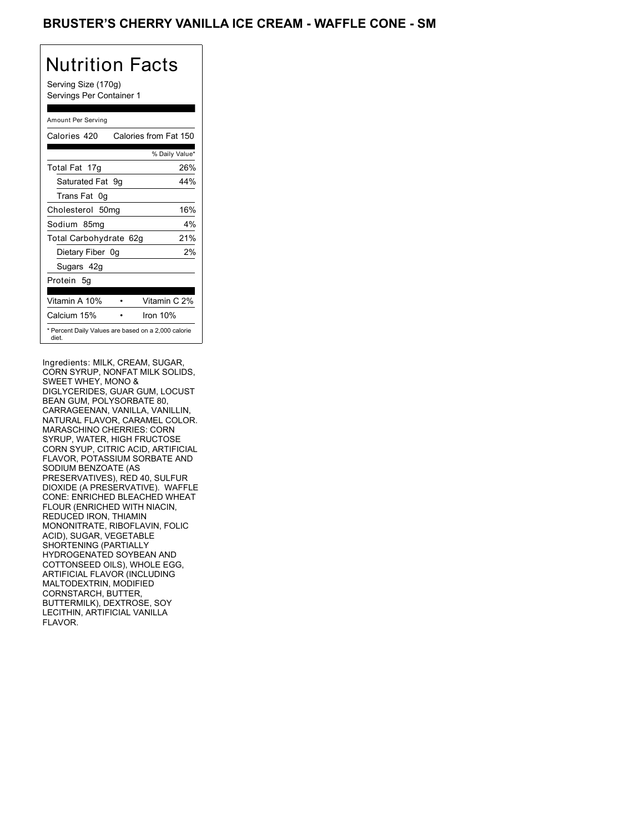### BRUSTER'S CHERRY VANILLA ICE CREAM - WAFFLE CONE - SM

## Nutrition Facts

Serving Size (170g) Servings Per Container 1

#### Amount Per Serving

| Calories 420                                                 |  | Calories from Fat 150 |
|--------------------------------------------------------------|--|-----------------------|
|                                                              |  | % Daily Value*        |
| Total Fat 17g                                                |  | 26%                   |
| Saturated Fat 9g                                             |  | 44%                   |
| Trans Fat 0q                                                 |  |                       |
| Cholesterol 50mg                                             |  | 16%                   |
| Sodium 85mg                                                  |  | 4%                    |
| Total Carbohydrate 62g                                       |  | 21%                   |
| Dietary Fiber 0g                                             |  | 2%                    |
| Sugars 42g                                                   |  |                       |
| Protein 5q                                                   |  |                       |
| Vitamin A 10%                                                |  | Vitamin C 2%          |
| Calcium 15%                                                  |  | Iron 10%              |
| * Percent Daily Values are based on a 2,000 calorie<br>diet. |  |                       |

Ingredients: MILK, CREAM, SUGAR, CORN SYRUP, NONFAT MILK SOLIDS, SWEET WHEY, MONO & DIGLYCERIDES, GUAR GUM, LOCUST BEAN GUM, POLYSORBATE 80, CARRAGEENAN, VANILLA, VANILLIN, NATURAL FLAVOR, CARAMEL COLOR. MARASCHINO CHERRIES: CORN SYRUP, WATER, HIGH FRUCTOSE CORN SYUP, CITRIC ACID, ARTIFICIAL FLAVOR, POTASSIUM SORBATE AND SODIUM BENZOATE (AS PRESERVATIVES), RED 40, SULFUR DIOXIDE (A PRESERVATIVE). WAFFLE CONE: ENRICHED BLEACHED WHEAT FLOUR (ENRICHED WITH NIACIN, REDUCED IRON, THIAMIN MONONITRATE, RIBOFLAVIN, FOLIC ACID), SUGAR, VEGETABLE SHORTENING (PARTIALLY HYDROGENATED SOYBEAN AND COTTONSEED OILS), WHOLE EGG, ARTIFICIAL FLAVOR (INCLUDING MALTODEXTRIN, MODIFIED CORNSTARCH, BUTTER, BUTTERMILK), DEXTROSE, SOY LECITHIN, ARTIFICIAL VANILLA FLAVOR.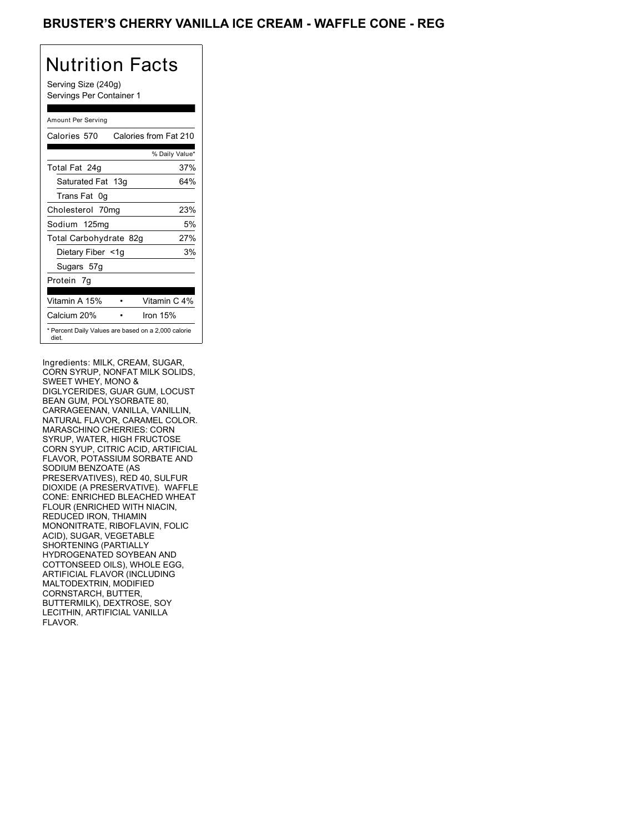### BRUSTER'S CHERRY VANILLA ICE CREAM - WAFFLE CONE - REG

## Nutrition Facts

Serving Size (240g) Servings Per Container 1

#### Amount Per Serving

| Calories 570                                                 | Calories from Fat 210 |
|--------------------------------------------------------------|-----------------------|
|                                                              | % Daily Value*        |
| Total Fat 24g                                                | 37%                   |
| Saturated Fat 13g                                            | 64%                   |
| Trans Fat 0q                                                 |                       |
| Cholesterol 70mg                                             | 23%                   |
| Sodium 125mg                                                 | 5%                    |
| Total Carbohydrate 82g                                       | 27%                   |
| Dietary Fiber <1g                                            | 3%                    |
| Sugars 57g                                                   |                       |
| Protein 7q                                                   |                       |
| Vitamin A 15%                                                | Vitamin C 4%          |
| Calcium 20%                                                  | Iron $15%$            |
| * Percent Daily Values are based on a 2,000 calorie<br>diet. |                       |

Ingredients: MILK, CREAM, SUGAR, CORN SYRUP, NONFAT MILK SOLIDS, SWEET WHEY, MONO & DIGLYCERIDES, GUAR GUM, LOCUST BEAN GUM, POLYSORBATE 80, CARRAGEENAN, VANILLA, VANILLIN, NATURAL FLAVOR, CARAMEL COLOR. MARASCHINO CHERRIES: CORN SYRUP, WATER, HIGH FRUCTOSE CORN SYUP, CITRIC ACID, ARTIFICIAL FLAVOR, POTASSIUM SORBATE AND SODIUM BENZOATE (AS PRESERVATIVES), RED 40, SULFUR DIOXIDE (A PRESERVATIVE). WAFFLE CONE: ENRICHED BLEACHED WHEAT FLOUR (ENRICHED WITH NIACIN, REDUCED IRON, THIAMIN MONONITRATE, RIBOFLAVIN, FOLIC ACID), SUGAR, VEGETABLE SHORTENING (PARTIALLY HYDROGENATED SOYBEAN AND COTTONSEED OILS), WHOLE EGG, ARTIFICIAL FLAVOR (INCLUDING MALTODEXTRIN, MODIFIED CORNSTARCH, BUTTER, BUTTERMILK), DEXTROSE, SOY LECITHIN, ARTIFICIAL VANILLA FLAVOR.